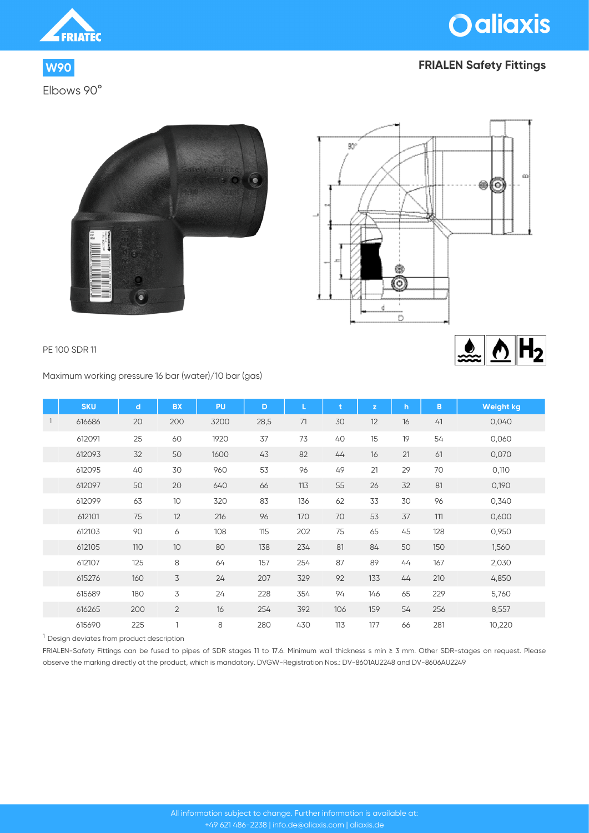

Elbows 90°



# **W90 FRIALEN Safety Fittings**





### PE 100 SDR 11

Maximum working pressure 16 bar (water)/10 bar (gas)

|                | <b>SKU</b> | $\mathbf d$ | <b>BX</b>      | PU   | D    |     | ŧ   | $\mathbf{z}$ | h. | B   | <b>Weight kg</b> |
|----------------|------------|-------------|----------------|------|------|-----|-----|--------------|----|-----|------------------|
| $\overline{1}$ | 616686     | 20          | 200            | 3200 | 28,5 | 71  | 30  | 12           | 16 | 41  | 0,040            |
|                | 612091     | 25          | 60             | 1920 | 37   | 73  | 40  | 15           | 19 | 54  | 0,060            |
|                | 612093     | 32          | 50             | 1600 | 43   | 82  | 44  | 16           | 21 | 61  | 0,070            |
|                | 612095     | 40          | 30             | 960  | 53   | 96  | 49  | 21           | 29 | 70  | 0,110            |
|                | 612097     | 50          | 20             | 640  | 66   | 113 | 55  | 26           | 32 | 81  | 0,190            |
|                | 612099     | 63          | 10             | 320  | 83   | 136 | 62  | 33           | 30 | 96  | 0,340            |
|                | 612101     | 75          | 12             | 216  | 96   | 170 | 70  | 53           | 37 | 111 | 0,600            |
|                | 612103     | 90          | 6              | 108  | 115  | 202 | 75  | 65           | 45 | 128 | 0,950            |
|                | 612105     | 110         | 10             | 80   | 138  | 234 | 81  | 84           | 50 | 150 | 1,560            |
|                | 612107     | 125         | 8              | 64   | 157  | 254 | 87  | 89           | 44 | 167 | 2,030            |
|                | 615276     | 160         | 3              | 24   | 207  | 329 | 92  | 133          | 44 | 210 | 4,850            |
|                | 615689     | 180         | 3              | 24   | 228  | 354 | 94  | 146          | 65 | 229 | 5,760            |
|                | 616265     | 200         | $\overline{2}$ | 16   | 254  | 392 | 106 | 159          | 54 | 256 | 8,557            |
|                | 615690     | 225         | $\mathbf{1}$   | 8    | 280  | 430 | 113 | 177          | 66 | 281 | 10,220           |

<sup>1</sup> Design deviates from product description

FRIALEN-Safety Fittings can be fused to pipes of SDR stages 11 to 17.6. Minimum wall thickness s min ≥ 3 mm. Other SDR-stages on request. Please observe the marking directly at the product, which is mandatory. DVGW-Registration Nos.: DV-8601AU2248 and DV-8606AU2249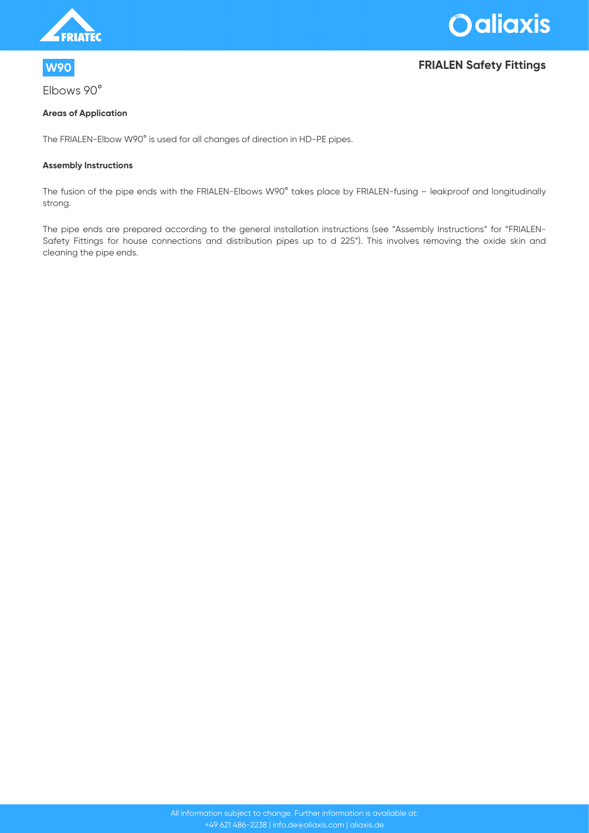



Elbows 90°

# **W90 FRIALEN Safety Fittings**

### **Areas of Application**

The FRIALEN-Elbow W90° is used for all changes of direction in HD-PE pipes.

#### **Assembly Instructions**

The fusion of the pipe ends with the FRIALEN-Elbows W90° takes place by FRIALEN-fusing – leakproof and longitudinally strong.

The pipe ends are prepared according to the general installation instructions (see "Assembly Instructions" for "FRIALEN-Safety Fittings for house connections and distribution pipes up to d 225"). This involves removing the oxide skin and cleaning the pipe ends.